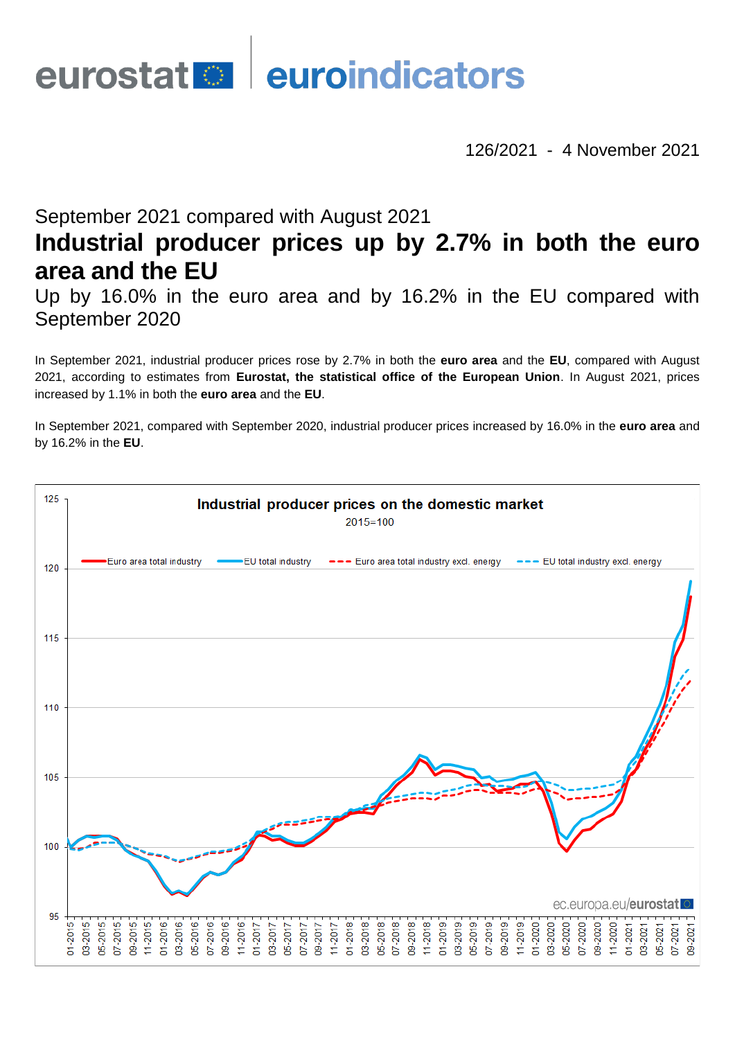# eurostat **en district** euroindicators

126/2021 - 4 November 2021

# September 2021 compared with August 2021 **Industrial producer prices up by 2.7% in both the euro area and the EU**

Up by 16.0% in the euro area and by 16.2% in the EU compared with September 2020

In September 2021, industrial producer prices rose by 2.7% in both the **euro area** and the **EU**, compared with August 2021, according to estimates from **Eurostat, the statistical office of the European Union**. In August 2021, prices increased by 1.1% in both the **euro area** and the **EU**.

In September 2021, compared with September 2020, industrial producer prices increased by 16.0% in the **euro area** and by 16.2% in the **EU**.

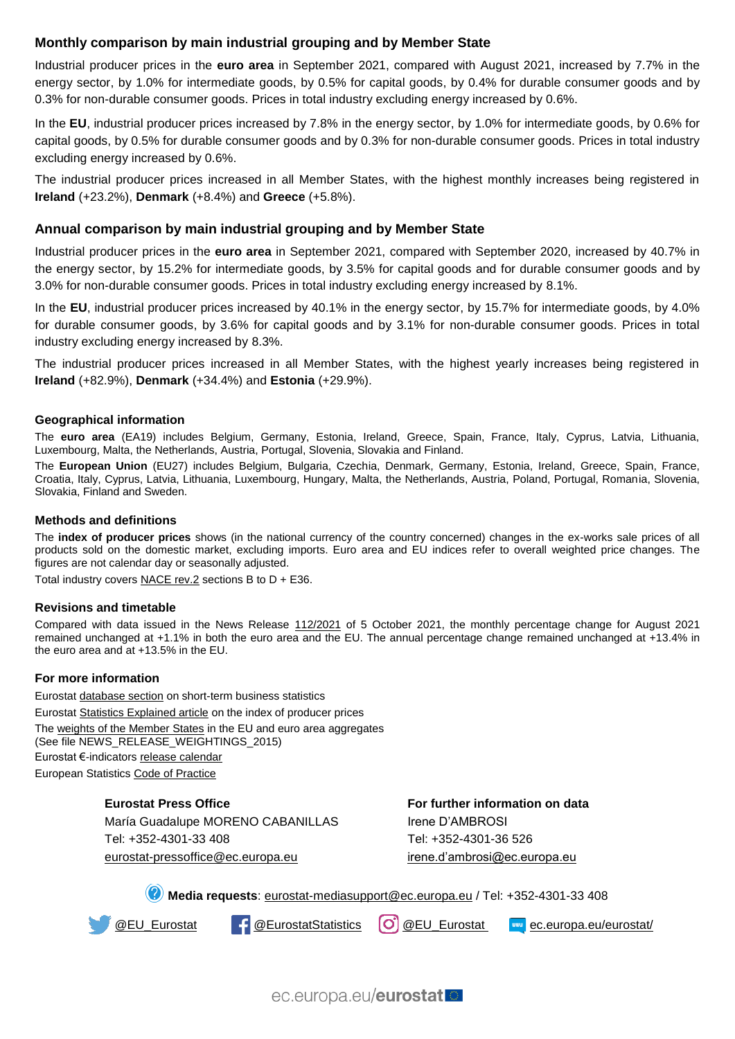## **Monthly comparison by main industrial grouping and by Member State**

Industrial producer prices in the **euro area** in September 2021, compared with August 2021, increased by 7.7% in the energy sector, by 1.0% for intermediate goods, by 0.5% for capital goods, by 0.4% for durable consumer goods and by 0.3% for non-durable consumer goods. Prices in total industry excluding energy increased by 0.6%.

In the **EU**, industrial producer prices increased by 7.8% in the energy sector, by 1.0% for intermediate goods, by 0.6% for capital goods, by 0.5% for durable consumer goods and by 0.3% for non-durable consumer goods. Prices in total industry excluding energy increased by 0.6%.

The industrial producer prices increased in all Member States, with the highest monthly increases being registered in **Ireland** (+23.2%), **Denmark** (+8.4%) and **Greece** (+5.8%).

#### **Annual comparison by main industrial grouping and by Member State**

Industrial producer prices in the **euro area** in September 2021, compared with September 2020, increased by 40.7% in the energy sector, by 15.2% for intermediate goods, by 3.5% for capital goods and for durable consumer goods and by 3.0% for non-durable consumer goods. Prices in total industry excluding energy increased by 8.1%.

In the **EU**, industrial producer prices increased by 40.1% in the energy sector, by 15.7% for intermediate goods, by 4.0% for durable consumer goods, by 3.6% for capital goods and by 3.1% for non-durable consumer goods. Prices in total industry excluding energy increased by 8.3%.

The industrial producer prices increased in all Member States, with the highest yearly increases being registered in **Ireland** (+82.9%), **Denmark** (+34.4%) and **Estonia** (+29.9%).

#### **Geographical information**

The **euro area** (EA19) includes Belgium, Germany, Estonia, Ireland, Greece, Spain, France, Italy, Cyprus, Latvia, Lithuania, Luxembourg, Malta, the Netherlands, Austria, Portugal, Slovenia, Slovakia and Finland.

The **European Union** (EU27) includes Belgium, Bulgaria, Czechia, Denmark, Germany, Estonia, Ireland, Greece, Spain, France, Croatia, Italy, Cyprus, Latvia, Lithuania, Luxembourg, Hungary, Malta, the Netherlands, Austria, Poland, Portugal, Romania, Slovenia, Slovakia, Finland and Sweden.

#### **Methods and definitions**

The **index of producer prices** shows (in the national currency of the country concerned) changes in the ex-works sale prices of all products sold on the domestic market, excluding imports. Euro area and EU indices refer to overall weighted price changes. The figures are not calendar day or seasonally adjusted.

Total industry covers [NACE rev.2](https://ec.europa.eu/eurostat/ramon/nomenclatures/index.cfm?TargetUrl=LST_NOM_DTL&StrNom=NACE_REV2&StrLanguageCode=EN&IntPcKey=&StrLayoutCode=HIERARCHIC&IntCurrentPage=1) sections B to  $D + E36$ .

#### **Revisions and timetable**

Compared with data issued in the News Release [112/2021](https://ec.europa.eu/eurostat/documents/2995521/11563303/4-05102021-AP-EN.pdf/d0567724-cdc1-df6f-b567-cdf39220223e) of 5 October 2021, the monthly percentage change for August 2021 remained unchanged at +1.1% in both the euro area and the EU. The annual percentage change remained unchanged at +13.4% in the euro area and at +13.5% in the EU.

#### **For more information**

Eurostat [database section](https://ec.europa.eu/eurostat/web/short-term-business-statistics/data/database) on short-term business statistics Eurostat [Statistics Explained article](https://ec.europa.eu/eurostat/statistics-explained/index.php/Industrial_producer_price_index_overview) on the index of producer prices The [weights of the Member States](https://circabc.europa.eu/w/browse/d72689ec-103e-41a8-81d1-2e5ea5f171f5) in the EU and euro area aggregates (See file NEWS\_RELEASE\_WEIGHTINGS\_2015) Eurostat €-indicators [release calendar](https://ec.europa.eu/eurostat/news/release-calendar) European Statistics [Code of Practice](https://ec.europa.eu/eurostat/web/products-catalogues/-/KS-02-18-142)

#### **Eurostat Press Office**

María Guadalupe MORENO CABANILLAS Tel: +352-4301-33 408 [eurostat-pressoffice@ec.europa.eu](mailto:eurostat-pressoffice@ec.europa.eu)

**For further information on data** Irene D'AMBROSI Tel: +352-4301-36 526 [irene.d'ambrosi@ec.europa.eu](mailto:irene.d)

**Media requests**: [eurostat-mediasupport@ec.europa.eu](mailto:eurostat-media-support@ec.europa.eu) / Tel: +352-4301-33 408

[@EU\\_Eurostat](https://twitter.com/EU_Eurostat) **f** [@EurostatStatistics](https://www.facebook.com/EurostatStatistics) **[O]** [@EU\\_Eurostat](https://www.instagram.com/eu_eurostat/) **example example example example example example example example example example example example example example example example example example example example examp** 

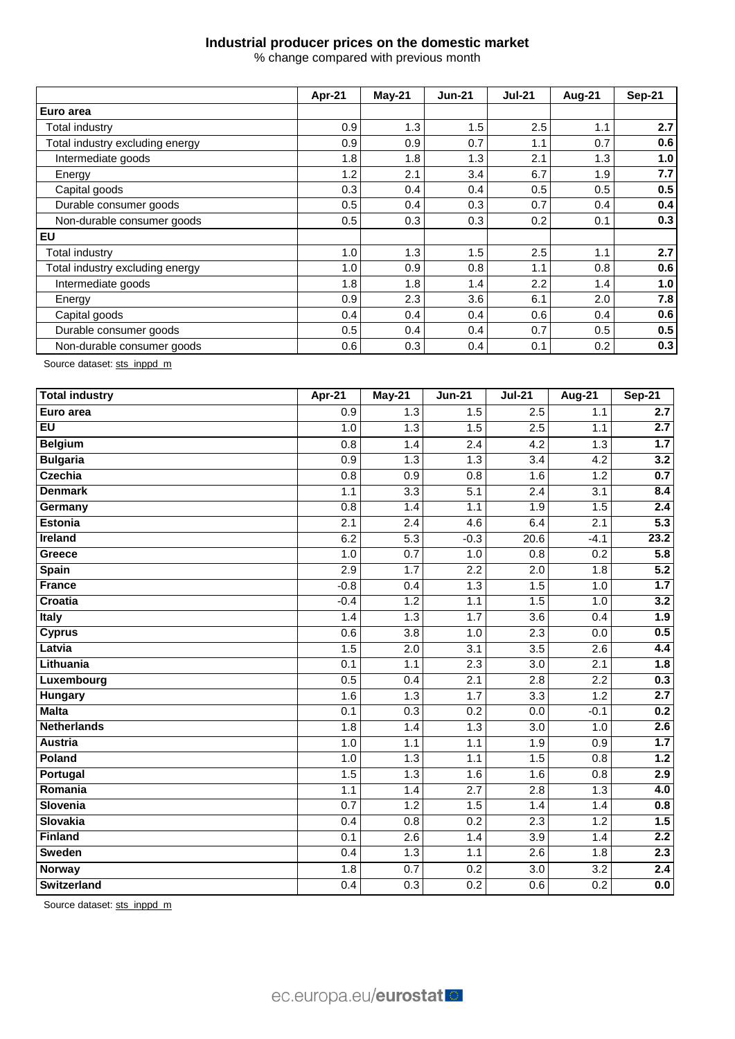### **Industrial producer prices on the domestic market**

% change compared with previous month

|                                 | Apr-21 | May-21 | <b>Jun-21</b> | <b>Jul-21</b> | Aug-21 | Sep-21 |
|---------------------------------|--------|--------|---------------|---------------|--------|--------|
| Euro area                       |        |        |               |               |        |        |
| Total industry                  | 0.9    | 1.3    | 1.5           | 2.5           | 1.1    | 2.7    |
| Total industry excluding energy | 0.9    | 0.9    | 0.7           | 1.1           | 0.7    | 0.6    |
| Intermediate goods              | 1.8    | 1.8    | 1.3           | 2.1           | 1.3    | 1.0    |
| Energy                          | 1.2    | 2.1    | 3.4           | 6.7           | 1.9    | 7.7    |
| Capital goods                   | 0.3    | 0.4    | 0.4           | 0.5           | 0.5    | 0.5    |
| Durable consumer goods          | 0.5    | 0.4    | 0.3           | 0.7           | 0.4    | 0.4    |
| Non-durable consumer goods      | 0.5    | 0.3    | 0.3           | 0.2           | 0.1    | 0.3    |
| <b>EU</b>                       |        |        |               |               |        |        |
| Total industry                  | 1.0    | 1.3    | 1.5           | 2.5           | 1.1    | 2.7    |
| Total industry excluding energy | 1.0    | 0.9    | 0.8           | 1.1           | 0.8    | 0.6    |
| Intermediate goods              | 1.8    | 1.8    | 1.4           | 2.2           | 1.4    | 1.0    |
| Energy                          | 0.9    | 2.3    | 3.6           | 6.1           | 2.0    | 7.8    |
| Capital goods                   | 0.4    | 0.4    | 0.4           | 0.6           | 0.4    | 0.6    |
| Durable consumer goods          | 0.5    | 0.4    | 0.4           | 0.7           | 0.5    | 0.5    |
| Non-durable consumer goods      | 0.6    | 0.3    | 0.4           | 0.1           | 0.2    | 0.3    |

Source dataset[: sts\\_inppd\\_m](https://ec.europa.eu/eurostat/databrowser/bookmark/cd748268-b34e-4033-b663-cf3ce71c37cd?lang=en)

| <b>Total industry</b> | Apr-21           | May-21           | <b>Jun-21</b>    | $Jul-21$         | <b>Aug-21</b>    | <b>Sep-21</b>    |
|-----------------------|------------------|------------------|------------------|------------------|------------------|------------------|
| Euro area             | $\overline{0.9}$ | $\overline{1.3}$ | 1.5              | 2.5              | 1.1              | 2.7              |
| <b>EU</b>             | 1.0              | $\overline{1.3}$ | 1.5              | $\overline{2.5}$ | 1.1              | 2.7              |
| <b>Belgium</b>        | $\overline{0.8}$ | 1.4              | $\overline{2.4}$ | 4.2              | 1.3              | 1.7              |
| <b>Bulgaria</b>       | 0.9              | 1.3              | 1.3              | $\overline{3.4}$ | 4.2              | 3.2              |
| Czechia               | 0.8              | 0.9              | 0.8              | 1.6              | $\overline{1.2}$ | 0.7              |
| <b>Denmark</b>        | 1.1              | $\overline{3.3}$ | $\overline{5.1}$ | 2.4              | 3.1              | 8.4              |
| Germany               | 0.8              | 1.4              | 1.1              | 1.9              | 1.5              | 2.4              |
| <b>Estonia</b>        | 2.1              | 2.4              | 4.6              | 6.4              | 2.1              | 5.3              |
| <b>Ireland</b>        | 6.2              | $\overline{5.3}$ | $-0.3$           | 20.6             | $-4.1$           | 23.2             |
| Greece                | 1.0              | 0.7              | 1.0              | 0.8              | $\overline{0.2}$ | $\overline{5.8}$ |
| <b>Spain</b>          | 2.9              | 1.7              | 2.2              | 2.0              | 1.8              | $\overline{5.2}$ |
| <b>France</b>         | $-0.8$           | 0.4              | 1.3              | 1.5              | 1.0              | 1.7              |
| Croatia               | $-0.4$           | 1.2              | 1.1              | 1.5              | 1.0              | 3.2              |
| Italy                 | 1.4              | 1.3              | 1.7              | $\overline{3.6}$ | 0.4              | 1.9              |
| <b>Cyprus</b>         | $\overline{0.6}$ | $\overline{3.8}$ | 1.0              | 2.3              | $\overline{0.0}$ | 0.5              |
| Latvia                | 1.5              | 2.0              | 3.1              | $\overline{3.5}$ | 2.6              | 4.4              |
| Lithuania             | $\overline{0.1}$ | 1.1              | $\overline{2.3}$ | $\overline{3.0}$ | $\overline{2.1}$ | 1.8              |
| Luxembourg            | 0.5              | 0.4              | 2.1              | 2.8              | 2.2              | 0.3              |
| Hungary               | 1.6              | 1.3              | 1.7              | 3.3              | 1.2              | 2.7              |
| <b>Malta</b>          | $\overline{0.1}$ | 0.3              | 0.2              | 0.0              | $-0.1$           | 0.2              |
| <b>Netherlands</b>    | 1.8              | 1.4              | 1.3              | 3.0              | 1.0              | 2.6              |
| <b>Austria</b>        | 1.0              | 1.1              | 1.1              | 1.9              | $\overline{0.9}$ | 1.7              |
| Poland                | 1.0              | 1.3              | 1.1              | 1.5              | $\overline{0.8}$ | 1.2              |
| Portugal              | 1.5              | 1.3              | 1.6              | 1.6              | 0.8              | 2.9              |
| Romania               | 1.1              | 1.4              | 2.7              | $\overline{2.8}$ | $\overline{1.3}$ | 4.0              |
| Slovenia              | 0.7              | 1.2              | 1.5              | 1.4              | 1.4              | 0.8              |
| <b>Slovakia</b>       | 0.4              | 0.8              | 0.2              | 2.3              | 1.2              | 1.5              |
| <b>Finland</b>        | 0.1              | $\overline{2.6}$ | 1.4              | $\overline{3.9}$ | 1.4              | 2.2              |
| <b>Sweden</b>         | 0.4              | 1.3              | 1.1              | 2.6              | 1.8              | 2.3              |
| <b>Norway</b>         | $\overline{1.8}$ | 0.7              | 0.2              | $\overline{3.0}$ | $\overline{3.2}$ | 2.4              |
| <b>Switzerland</b>    | 0.4              | 0.3              | 0.2              | 0.6              | 0.2              | 0.0              |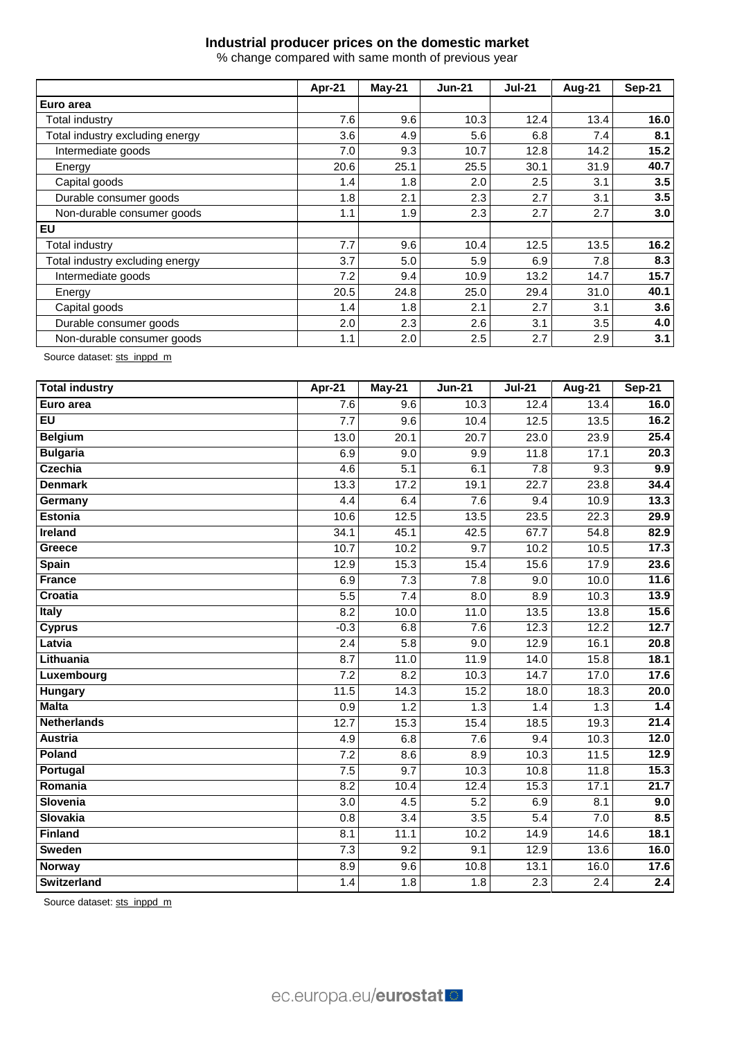# **Industrial producer prices on the domestic market**

% change compared with same month of previous year

|                                 | Apr-21 | May-21 | <b>Jun-21</b> | <b>Jul-21</b> | Aug-21 | <b>Sep-21</b> |
|---------------------------------|--------|--------|---------------|---------------|--------|---------------|
| Euro area                       |        |        |               |               |        |               |
| Total industry                  | 7.6    | 9.6    | 10.3          | 12.4          | 13.4   | 16.0          |
| Total industry excluding energy | 3.6    | 4.9    | 5.6           | 6.8           | 7.4    | 8.1           |
| Intermediate goods              | 7.0    | 9.3    | 10.7          | 12.8          | 14.2   | 15.2          |
| Energy                          | 20.6   | 25.1   | 25.5          | 30.1          | 31.9   | 40.7          |
| Capital goods                   | 1.4    | 1.8    | 2.0           | 2.5           | 3.1    | 3.5           |
| Durable consumer goods          | 1.8    | 2.1    | 2.3           | 2.7           | 3.1    | 3.5           |
| Non-durable consumer goods      | 1.1    | 1.9    | 2.3           | 2.7           | 2.7    | 3.0           |
| <b>EU</b>                       |        |        |               |               |        |               |
| <b>Total industry</b>           | 7.7    | 9.6    | 10.4          | 12.5          | 13.5   | 16.2          |
| Total industry excluding energy | 3.7    | 5.0    | 5.9           | 6.9           | 7.8    | 8.3           |
| Intermediate goods              | 7.2    | 9.4    | 10.9          | 13.2          | 14.7   | 15.7          |
| Energy                          | 20.5   | 24.8   | 25.0          | 29.4          | 31.0   | 40.1          |
| Capital goods                   | 1.4    | 1.8    | 2.1           | 2.7           | 3.1    | 3.6           |
| Durable consumer goods          | 2.0    | 2.3    | 2.6           | 3.1           | 3.5    | 4.0           |
| Non-durable consumer goods      | 1.1    | 2.0    | 2.5           | 2.7           | 2.9    | 3.1           |

Source dataset: [sts\\_inppd\\_m](https://ec.europa.eu/eurostat/databrowser/bookmark/bd902e9e-9250-4b5a-a935-e357ee2cee92?lang=en)

| <b>Total industry</b> | $Apr-21$         | May-21           | <b>Jun-21</b>    | $Jul-21$          | Aug- $21$        | <b>Sep-21</b>     |
|-----------------------|------------------|------------------|------------------|-------------------|------------------|-------------------|
| Euro area             | 7.6              | 9.6              | 10.3             | 12.4              | 13.4             | 16.0              |
| EU                    | 7.7              | 9.6              | 10.4             | 12.5              | 13.5             | 16.2              |
| <b>Belgium</b>        | 13.0             | 20.1             | 20.7             | 23.0              | 23.9             | 25.4              |
| <b>Bulgaria</b>       | 6.9              | 9.0              | 9.9              | 11.8              | 17.1             | 20.3              |
| <b>Czechia</b>        | 4.6              | 5.1              | 6.1              | 7.8               | 9.3              | 9.9               |
| <b>Denmark</b>        | 13.3             | 17.2             | 19.1             | 22.7              | 23.8             | 34.4              |
| Germany               | 4.4              | 6.4              | 7.6              | 9.4               | 10.9             | 13.3              |
| <b>Estonia</b>        | 10.6             | 12.5             | 13.5             | 23.5              | 22.3             | 29.9              |
| Ireland               | 34.1             | 45.1             | 42.5             | 67.7              | 54.8             | 82.9              |
| Greece                | 10.7             | 10.2             | $\overline{9.7}$ | 10.2              | 10.5             | 17.3              |
| Spain                 | 12.9             | 15.3             | 15.4             | 15.6              | 17.9             | 23.6              |
| <b>France</b>         | 6.9              | 7.3              | $\overline{7.8}$ | 9.0               | 10.0             | 11.6              |
| Croatia               | 5.5              | $\overline{7.4}$ | $\overline{8.0}$ | 8.9               | 10.3             | 13.9              |
| Italy                 | $\overline{8.2}$ | 10.0             | 11.0             | 13.5              | 13.8             | 15.6              |
| <b>Cyprus</b>         | $-0.3$           | 6.8              | $\overline{7.6}$ | 12.3              | 12.2             | $\overline{12.7}$ |
| Latvia                | $\overline{2.4}$ | 5.8              | $\overline{9.0}$ | 12.9              | 16.1             | 20.8              |
| Lithuania             | 8.7              | 11.0             | 11.9             | $\overline{14.0}$ | 15.8             | 18.1              |
| Luxembourg            | 7.2              | $\overline{8.2}$ | 10.3             | 14.7              | 17.0             | 17.6              |
| Hungary               | 11.5             | 14.3             | 15.2             | 18.0              | 18.3             | 20.0              |
| <b>Malta</b>          | $\overline{0.9}$ | 1.2              | 1.3              | 1.4               | 1.3              | 1.4               |
| <b>Netherlands</b>    | 12.7             | 15.3             | 15.4             | 18.5              | 19.3             | 21.4              |
| <b>Austria</b>        | 4.9              | 6.8              | $\overline{7.6}$ | 9.4               | 10.3             | 12.0              |
| Poland                | 7.2              | 8.6              | 8.9              | 10.3              | 11.5             | 12.9              |
| Portugal              | 7.5              | 9.7              | 10.3             | 10.8              | 11.8             | 15.3              |
| Romania               | 8.2              | 10.4             | 12.4             | 15.3              | 17.1             | $\overline{21.7}$ |
| Slovenia              | 3.0              | $\overline{4.5}$ | $\overline{5.2}$ | 6.9               | 8.1              | 9.0               |
| Slovakia              | 0.8              | 3.4              | $\overline{3.5}$ | $\overline{5.4}$  | 7.0              | 8.5               |
| <b>Finland</b>        | 8.1              | 11.1             | 10.2             | 14.9              | 14.6             | 18.1              |
| <b>Sweden</b>         | 7.3              | 9.2              | 9.1              | 12.9              | 13.6             | 16.0              |
| <b>Norway</b>         | 8.9              | 9.6              | 10.8             | 13.1              | 16.0             | 17.6              |
| <b>Switzerland</b>    | 1.4              | 1.8              | 1.8              | 2.3               | $\overline{2.4}$ | 2.4               |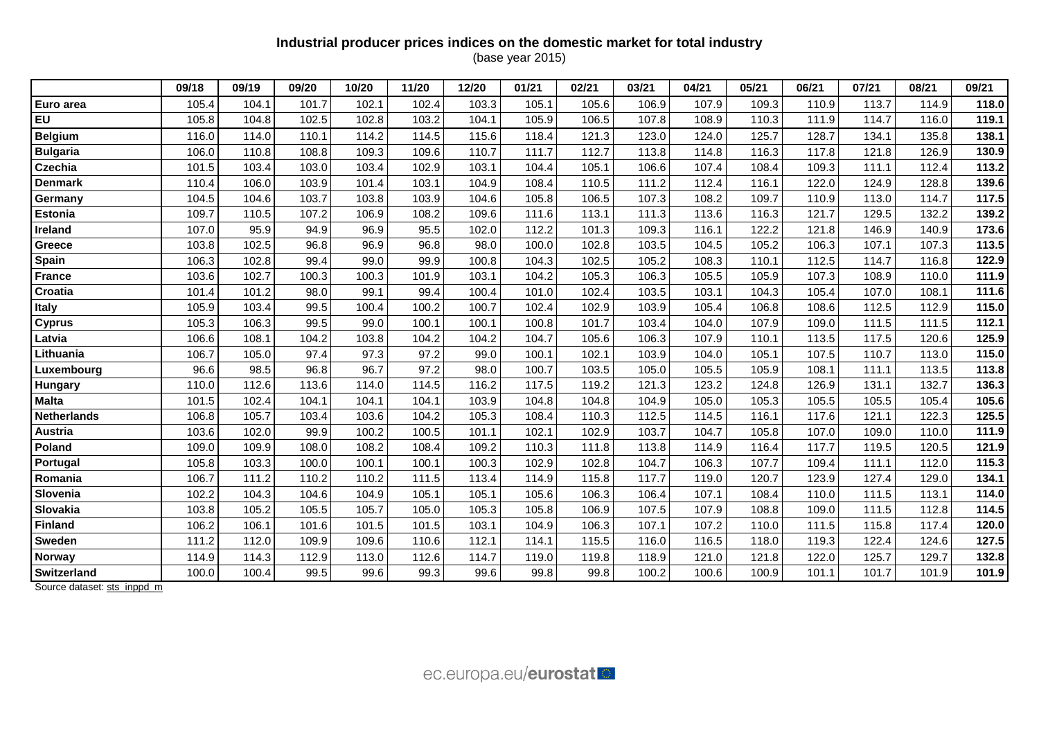## **Industrial producer prices indices on the domestic market for total industry**

(base year 2015)

|                    | 09/18 | 09/19 | 09/20 | 10/20 | 11/20 | 12/20 | 01/21 | 02/21 | 03/21 | 04/21 | 05/21 | 06/21 | 07/21 | 08/21 | 09/21 |
|--------------------|-------|-------|-------|-------|-------|-------|-------|-------|-------|-------|-------|-------|-------|-------|-------|
| Euro area          | 105.4 | 104.1 | 101.7 | 102.1 | 102.4 | 103.3 | 105.1 | 105.6 | 106.9 | 107.9 | 109.3 | 110.9 | 113.7 | 114.9 | 118.0 |
| EU                 | 105.8 | 104.8 | 102.5 | 102.8 | 103.2 | 104.1 | 105.9 | 106.5 | 107.8 | 108.9 | 110.3 | 111.9 | 114.7 | 116.0 | 119.1 |
| <b>Belgium</b>     | 116.0 | 114.0 | 110.1 | 114.2 | 114.5 | 115.6 | 118.4 | 121.3 | 123.0 | 124.0 | 125.7 | 128.7 | 134.1 | 135.8 | 138.1 |
| <b>Bulgaria</b>    | 106.0 | 110.8 | 108.8 | 109.3 | 109.6 | 110.7 | 111.7 | 112.7 | 113.8 | 114.8 | 116.3 | 117.8 | 121.8 | 126.9 | 130.9 |
| <b>Czechia</b>     | 101.5 | 103.4 | 103.0 | 103.4 | 102.9 | 103.1 | 104.4 | 105.1 | 106.6 | 107.4 | 108.4 | 109.3 | 111.1 | 112.4 | 113.2 |
| <b>Denmark</b>     | 110.4 | 106.0 | 103.9 | 101.4 | 103.1 | 104.9 | 108.4 | 110.5 | 111.2 | 112.4 | 116.1 | 122.0 | 124.9 | 128.8 | 139.6 |
| Germany            | 104.5 | 104.6 | 103.7 | 103.8 | 103.9 | 104.6 | 105.8 | 106.5 | 107.3 | 108.2 | 109.7 | 110.9 | 113.0 | 114.7 | 117.5 |
| <b>Estonia</b>     | 109.7 | 110.5 | 107.2 | 106.9 | 108.2 | 109.6 | 111.6 | 113.1 | 111.3 | 113.6 | 116.3 | 121.7 | 129.5 | 132.2 | 139.2 |
| Ireland            | 107.0 | 95.9  | 94.9  | 96.9  | 95.5  | 102.0 | 112.2 | 101.3 | 109.3 | 116.1 | 122.2 | 121.8 | 146.9 | 140.9 | 173.6 |
| Greece             | 103.8 | 102.5 | 96.8  | 96.9  | 96.8  | 98.0  | 100.0 | 102.8 | 103.5 | 104.5 | 105.2 | 106.3 | 107.1 | 107.3 | 113.5 |
| Spain              | 106.3 | 102.8 | 99.4  | 99.0  | 99.9  | 100.8 | 104.3 | 102.5 | 105.2 | 108.3 | 110.1 | 112.5 | 114.7 | 116.8 | 122.9 |
| <b>France</b>      | 103.6 | 102.7 | 100.3 | 100.3 | 101.9 | 103.1 | 104.2 | 105.3 | 106.3 | 105.5 | 105.9 | 107.3 | 108.9 | 110.0 | 111.9 |
| Croatia            | 101.4 | 101.2 | 98.0  | 99.1  | 99.4  | 100.4 | 101.0 | 102.4 | 103.5 | 103.1 | 104.3 | 105.4 | 107.0 | 108.1 | 111.6 |
| Italy              | 105.9 | 103.4 | 99.5  | 100.4 | 100.2 | 100.7 | 102.4 | 102.9 | 103.9 | 105.4 | 106.8 | 108.6 | 112.5 | 112.9 | 115.0 |
| <b>Cyprus</b>      | 105.3 | 106.3 | 99.5  | 99.0  | 100.1 | 100.1 | 100.8 | 101.7 | 103.4 | 104.0 | 107.9 | 109.0 | 111.5 | 111.5 | 112.1 |
| Latvia             | 106.6 | 108.1 | 104.2 | 103.8 | 104.2 | 104.2 | 104.7 | 105.6 | 106.3 | 107.9 | 110.1 | 113.5 | 117.5 | 120.6 | 125.9 |
| Lithuania          | 106.7 | 105.0 | 97.4  | 97.3  | 97.2  | 99.0  | 100.1 | 102.1 | 103.9 | 104.0 | 105.1 | 107.5 | 110.7 | 113.0 | 115.0 |
| Luxembourg         | 96.6  | 98.5  | 96.8  | 96.7  | 97.2  | 98.0  | 100.7 | 103.5 | 105.0 | 105.5 | 105.9 | 108.1 | 111.1 | 113.5 | 113.8 |
| Hungary            | 110.0 | 112.6 | 113.6 | 114.0 | 114.5 | 116.2 | 117.5 | 119.2 | 121.3 | 123.2 | 124.8 | 126.9 | 131.1 | 132.7 | 136.3 |
| <b>Malta</b>       | 101.5 | 102.4 | 104.1 | 104.1 | 104.1 | 103.9 | 104.8 | 104.8 | 104.9 | 105.0 | 105.3 | 105.5 | 105.5 | 105.4 | 105.6 |
| <b>Netherlands</b> | 106.8 | 105.7 | 103.4 | 103.6 | 104.2 | 105.3 | 108.4 | 110.3 | 112.5 | 114.5 | 116.1 | 117.6 | 121.1 | 122.3 | 125.5 |
| Austria            | 103.6 | 102.0 | 99.9  | 100.2 | 100.5 | 101.1 | 102.1 | 102.9 | 103.7 | 104.7 | 105.8 | 107.0 | 109.0 | 110.0 | 111.9 |
| Poland             | 109.0 | 109.9 | 108.0 | 108.2 | 108.4 | 109.2 | 110.3 | 111.8 | 113.8 | 114.9 | 116.4 | 117.7 | 119.5 | 120.5 | 121.9 |
| Portugal           | 105.8 | 103.3 | 100.0 | 100.1 | 100.1 | 100.3 | 102.9 | 102.8 | 104.7 | 106.3 | 107.7 | 109.4 | 111.1 | 112.0 | 115.3 |
| Romania            | 106.7 | 111.2 | 110.2 | 110.2 | 111.5 | 113.4 | 114.9 | 115.8 | 117.7 | 119.0 | 120.7 | 123.9 | 127.4 | 129.0 | 134.1 |
| Slovenia           | 102.2 | 104.3 | 104.6 | 104.9 | 105.1 | 105.1 | 105.6 | 106.3 | 106.4 | 107.1 | 108.4 | 110.0 | 111.5 | 113.1 | 114.0 |
| Slovakia           | 103.8 | 105.2 | 105.5 | 105.7 | 105.0 | 105.3 | 105.8 | 106.9 | 107.5 | 107.9 | 108.8 | 109.0 | 111.5 | 112.8 | 114.5 |
| <b>Finland</b>     | 106.2 | 106.1 | 101.6 | 101.5 | 101.5 | 103.1 | 104.9 | 106.3 | 107.1 | 107.2 | 110.0 | 111.5 | 115.8 | 117.4 | 120.0 |
| <b>Sweden</b>      | 111.2 | 112.0 | 109.9 | 109.6 | 110.6 | 112.1 | 114.1 | 115.5 | 116.0 | 116.5 | 118.0 | 119.3 | 122.4 | 124.6 | 127.5 |
| Norway             | 114.9 | 114.3 | 112.9 | 113.0 | 112.6 | 114.7 | 119.0 | 119.8 | 118.9 | 121.0 | 121.8 | 122.0 | 125.7 | 129.7 | 132.8 |
| Switzerland        | 100.0 | 100.4 | 99.5  | 99.6  | 99.3  | 99.6  | 99.8  | 99.8  | 100.2 | 100.6 | 100.9 | 101.1 | 101.7 | 101.9 | 101.9 |